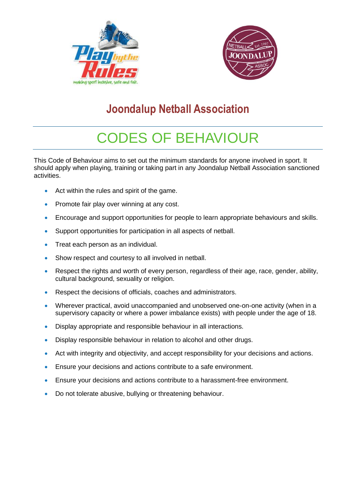



# **Joondalup Netball Association**

# CODES OF BEHAVIOUR

This Code of Behaviour aims to set out the minimum standards for anyone involved in sport. It should apply when playing, training or taking part in any Joondalup Netball Association sanctioned activities.

- Act within the rules and spirit of the game.
- Promote fair play over winning at any cost.
- Encourage and support opportunities for people to learn appropriate behaviours and skills.
- Support opportunities for participation in all aspects of netball.
- Treat each person as an individual.
- Show respect and courtesy to all involved in netball.
- Respect the rights and worth of every person, regardless of their age, race, gender, ability, cultural background, sexuality or religion.
- Respect the decisions of officials, coaches and administrators.
- Wherever practical, avoid unaccompanied and unobserved one-on-one activity (when in a supervisory capacity or where a power imbalance exists) with people under the age of 18.
- Display appropriate and responsible behaviour in all interactions.
- Display responsible behaviour in relation to alcohol and other drugs.
- Act with integrity and objectivity, and accept responsibility for your decisions and actions.
- Ensure your decisions and actions contribute to a safe environment.
- Ensure your decisions and actions contribute to a harassment-free environment.
- Do not tolerate abusive, bullying or threatening behaviour.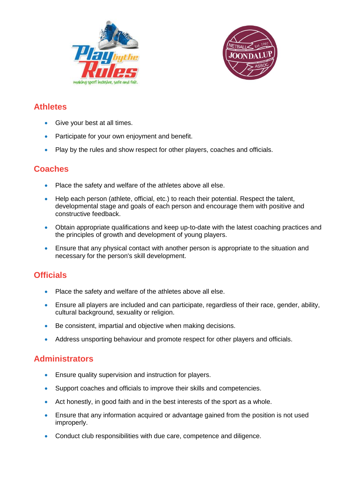



#### **Athletes**

- Give your best at all times.
- Participate for your own enjoyment and benefit.
- Play by the rules and show respect for other players, coaches and officials.

#### **Coaches**

- Place the safety and welfare of the athletes above all else.
- Help each person (athlete, official, etc.) to reach their potential. Respect the talent, developmental stage and goals of each person and encourage them with positive and constructive feedback.
- Obtain appropriate qualifications and keep up-to-date with the latest coaching practices and the principles of growth and development of young players.
- Ensure that any physical contact with another person is appropriate to the situation and necessary for the person's skill development.

### **Officials**

- Place the safety and welfare of the athletes above all else.
- Ensure all players are included and can participate, regardless of their race, gender, ability, cultural background, sexuality or religion.
- Be consistent, impartial and objective when making decisions.
- Address unsporting behaviour and promote respect for other players and officials.

#### **Administrators**

- **Ensure quality supervision and instruction for players.**
- Support coaches and officials to improve their skills and competencies.
- Act honestly, in good faith and in the best interests of the sport as a whole.
- Ensure that any information acquired or advantage gained from the position is not used improperly.
- Conduct club responsibilities with due care, competence and diligence.